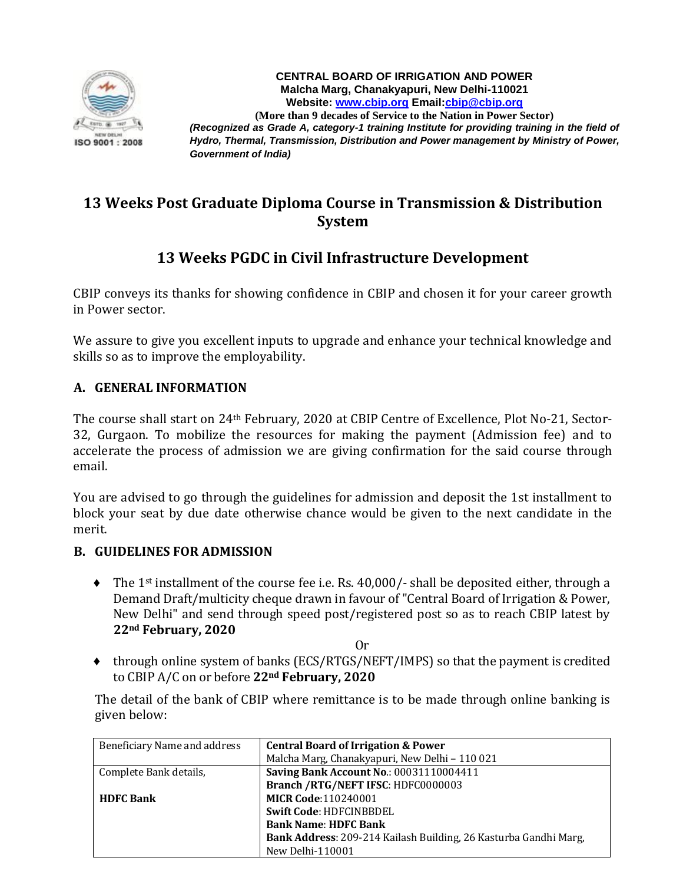

**CENTRAL BOARD OF IRRIGATION AND POWER Malcha Marg, Chanakyapuri, New Delhi-110021 Website: [www.cbip.org](http://www.cbip.org/) Email[:cbip@cbip.org](mailto:cbip@cbip.org) (More than 9 decades of Service to the Nation in Power Sector)** *(Recognized as Grade A, category-1 training Institute for providing training in the field of Hydro, Thermal, Transmission, Distribution and Power management by Ministry of Power, Government of India)*

# **13 Weeks Post Graduate Diploma Course in Transmission & Distribution System**

# **13 Weeks PGDC in Civil Infrastructure Development**

CBIP conveys its thanks for showing confidence in CBIP and chosen it for your career growth in Power sector.

We assure to give you excellent inputs to upgrade and enhance your technical knowledge and skills so as to improve the employability.

#### **A. GENERAL INFORMATION**

The course shall start on 24th February, 2020 at CBIP Centre of Excellence, Plot No-21, Sector-32, Gurgaon. To mobilize the resources for making the payment (Admission fee) and to accelerate the process of admission we are giving confirmation for the said course through email.

You are advised to go through the guidelines for admission and deposit the 1st installment to block your seat by due date otherwise chance would be given to the next candidate in the merit.

#### **B. GUIDELINES FOR ADMISSION**

- $\blacklozenge$  The 1<sup>st</sup> installment of the course fee i.e. Rs. 40,000/- shall be deposited either, through a Demand Draft/multicity cheque drawn in favour of "Central Board of Irrigation & Power, New Delhi" and send through speed post/registered post so as to reach CBIP latest by **22nd February, 2020**
	- Or
- ♦ through online system of banks (ECS/RTGS/NEFT/IMPS) so that the payment is credited to CBIP A/C on or before **22nd February, 2020**

The detail of the bank of CBIP where remittance is to be made through online banking is given below:

| Beneficiary Name and address | <b>Central Board of Irrigation &amp; Power</b>                   |
|------------------------------|------------------------------------------------------------------|
|                              | Malcha Marg, Chanakyapuri, New Delhi - 110 021                   |
| Complete Bank details,       | <b>Saving Bank Account No.: 00031110004411</b>                   |
|                              | Branch / RTG/NEFT IFSC: HDFC0000003                              |
| <b>HDFC Bank</b>             | <b>MICR Code:110240001</b>                                       |
|                              | Swift Code: HDFCINBBDEL                                          |
|                              | <b>Bank Name: HDFC Bank</b>                                      |
|                              | Bank Address: 209-214 Kailash Building, 26 Kasturba Gandhi Marg, |
|                              | New Delhi-110001                                                 |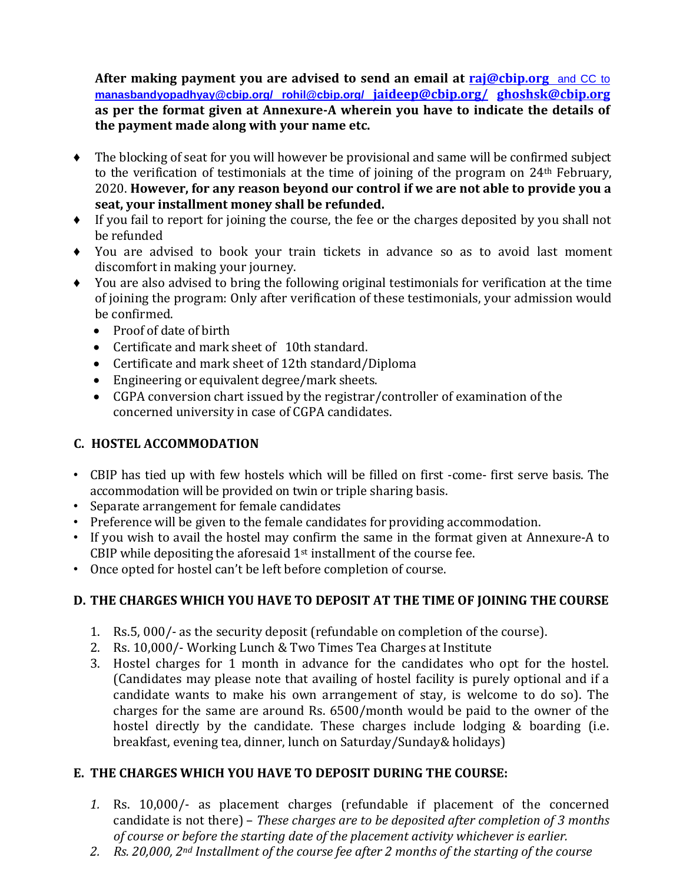**After making payment you are advised to send an email at [raj@cbip.org](mailto:raj@cbip.org%20%20and%20CC%20to%20manasbandyopadhyay@cbip.org/%20rohil@cbip.org/%20jaideep@cbip.org/)** and CC to **[manasbandyopadhyay@cbip.org/ rohil@cbip.org/](mailto:raj@cbip.org%20%20and%20CC%20to%20manasbandyopadhyay@cbip.org/%20rohil@cbip.org/%20jaideep@cbip.org/) jaideep@cbip.org/ [ghoshsk@cbip.org](mailto:ghoshsk@cbip.org) as per the format given at Annexure-A wherein you have to indicate the details of the payment made along with your name etc.**

- ♦ The blocking of seat for you will however be provisional and same will be confirmed subject to the verification of testimonials at the time of joining of the program on 24th February, 2020. **However, for any reason beyond our control if we are not able to provide you a seat, your installment money shall be refunded.**
- ♦ If you fail to report for joining the course, the fee or the charges deposited by you shall not be refunded
- ♦ You are advised to book your train tickets in advance so as to avoid last moment discomfort in making your journey.
- ♦ You are also advised to bring the following original testimonials for verification at the time of joining the program: Only after verification of these testimonials, your admission would be confirmed.
	- Proof of date of birth
	- Certificate and mark sheet of 10th standard.
	- Certificate and mark sheet of 12th standard/Diploma
	- Engineering or equivalent degree/mark sheets.
	- CGPA conversion chart issued by the registrar/controller of examination of the concerned university in case of CGPA candidates.

## **C. HOSTEL ACCOMMODATION**

- CBIP has tied up with few hostels which will be filled on first -come- first serve basis. The accommodation will be provided on twin or triple sharing basis.
- Separate arrangement for female candidates
- Preference will be given to the female candidates for providing accommodation.
- If you wish to avail the hostel may confirm the same in the format given at Annexure-A to CBIP while depositing the aforesaid 1st installment of the course fee.
- Once opted for hostel can't be left before completion of course.

## **D. THE CHARGES WHICH YOU HAVE TO DEPOSIT AT THE TIME OF JOINING THE COURSE**

- 1. Rs.5, 000/- as the security deposit (refundable on completion of the course).
- 2. Rs. 10,000/- Working Lunch & Two Times Tea Charges at Institute
- 3. Hostel charges for 1 month in advance for the candidates who opt for the hostel. (Candidates may please note that availing of hostel facility is purely optional and if a candidate wants to make his own arrangement of stay, is welcome to do so). The charges for the same are around Rs. 6500/month would be paid to the owner of the hostel directly by the candidate. These charges include lodging & boarding (i.e. breakfast, evening tea, dinner, lunch on Saturday/Sunday& holidays)

## **E. THE CHARGES WHICH YOU HAVE TO DEPOSIT DURING THE COURSE:**

- *1.* Rs. 10,000/- as placement charges (refundable if placement of the concerned candidate is not there) – *These charges are to be deposited after completion of 3 months of course or before the starting date of the placement activity whichever is earlier.*
- *2. Rs. 20,000, 2nd Installment of the course fee after 2 months of the starting of the course*